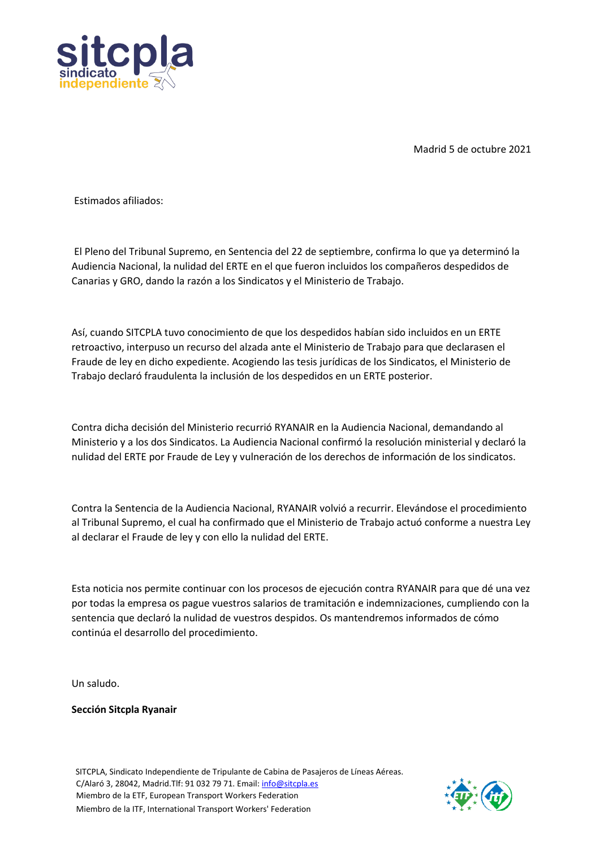

Madrid 5 de octubre 2021

Estimados afiliados:

El Pleno del Tribunal Supremo, en Sentencia del 22 de septiembre, confirma lo que ya determinó la Audiencia Nacional, la nulidad del ERTE en el que fueron incluidos los compañeros despedidos de Canarias y GRO, dando la razón a los Sindicatos y el Ministerio de Trabajo.

Así, cuando SITCPLA tuvo conocimiento de que los despedidos habían sido incluidos en un ERTE retroactivo, interpuso un recurso del alzada ante el Ministerio de Trabajo para que declarasen el Fraude de ley en dicho expediente. Acogiendo las tesis jurídicas de los Sindicatos, el Ministerio de Trabajo declaró fraudulenta la inclusión de los despedidos en un ERTE posterior.

Contra dicha decisión del Ministerio recurrió RYANAIR en la Audiencia Nacional, demandando al Ministerio y a los dos Sindicatos. La Audiencia Nacional confirmó la resolución ministerial y declaró la nulidad del ERTE por Fraude de Ley y vulneración de los derechos de información de los sindicatos.

Contra la Sentencia de la Audiencia Nacional, RYANAIR volvió a recurrir. Elevándose el procedimiento al Tribunal Supremo, el cual ha confirmado que el Ministerio de Trabajo actuó conforme a nuestra Ley al declarar el Fraude de ley y con ello la nulidad del ERTE.

Esta noticia nos permite continuar con los procesos de ejecución contra RYANAIR para que dé una vez por todas la empresa os pague vuestros salarios de tramitación e indemnizaciones, cumpliendo con la sentencia que declaró la nulidad de vuestros despidos. Os mantendremos informados de cómo continúa el desarrollo del procedimiento.

Un saludo.

**Sección Sitcpla Ryanair**

 SITCPLA, Sindicato Independiente de Tripulante de Cabina de Pasajeros de Líneas Aéreas. C/Alaró 3, 28042, Madrid.Tlf: 91 032 79 71. Email: info@sitcpla.es Miembro de la ETF, European Transport Workers Federation Miembro de la ITF, International Transport Workers' Federation